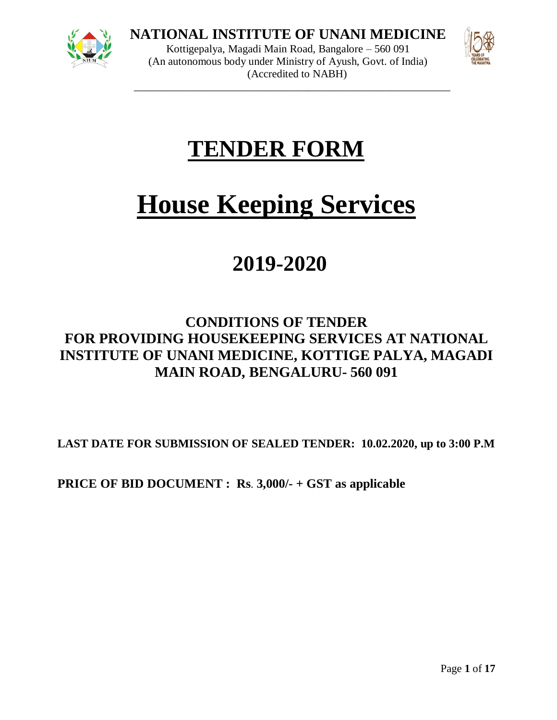

**NATIONAL INSTITUTE OF UNANI MEDICINE**

Kottigepalya, Magadi Main Road, Bangalore – 560 091 (An autonomous body under Ministry of Ayush, Govt. of India) (Accredited to NABH) \_\_\_\_\_\_\_\_\_\_\_\_\_\_\_\_\_\_\_\_\_\_\_\_\_\_\_\_\_\_\_\_\_\_\_\_\_\_\_\_\_\_\_\_\_\_\_\_\_\_\_\_\_\_\_\_\_\_



## **TENDER FORM**

# **House Keeping Services**

## **2019-2020**

### **CONDITIONS OF TENDER FOR PROVIDING HOUSEKEEPING SERVICES AT NATIONAL INSTITUTE OF UNANI MEDICINE, KOTTIGE PALYA, MAGADI MAIN ROAD, BENGALURU- 560 091**

**LAST DATE FOR SUBMISSION OF SEALED TENDER: 10.02.2020, up to 3:00 P.M**

**PRICE OF BID DOCUMENT : Rs**. **3,000/- + GST as applicable**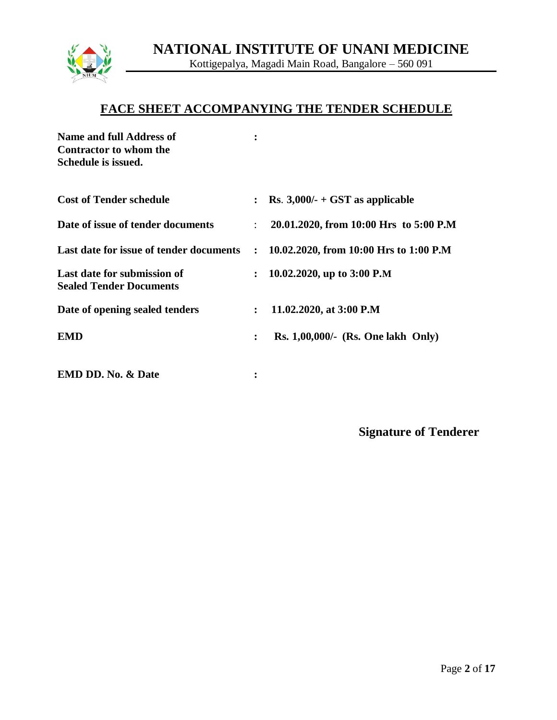

## Kottigepalya, Magadi Main Road, Bangalore – 560 091

#### **FACE SHEET ACCOMPANYING THE TENDER SCHEDULE**

| Name and full Address of<br>Contractor to whom the<br>Schedule is issued. |                |                                        |
|---------------------------------------------------------------------------|----------------|----------------------------------------|
| <b>Cost of Tender schedule</b>                                            |                | Rs. $3,000/$ - + GST as applicable     |
| Date of issue of tender documents                                         |                | 20.01.2020, from 10:00 Hrs to 5:00 P.M |
| Last date for issue of tender documents                                   | $\ddot{\cdot}$ | 10.02.2020, from 10:00 Hrs to 1:00 P.M |
| Last date for submission of<br><b>Sealed Tender Documents</b>             | $\ddot{\cdot}$ | 10.02.2020, up to 3:00 P.M             |
| Date of opening sealed tenders                                            | $\ddot{\cdot}$ | 11.02.2020, at 3:00 P.M                |
| <b>EMD</b>                                                                | $\ddot{\cdot}$ | $Rs. 1,00,000/-(Rs. One lakh Only)$    |
| <b>EMD DD. No. &amp; Date</b>                                             | ፡              |                                        |

**Signature of Tenderer**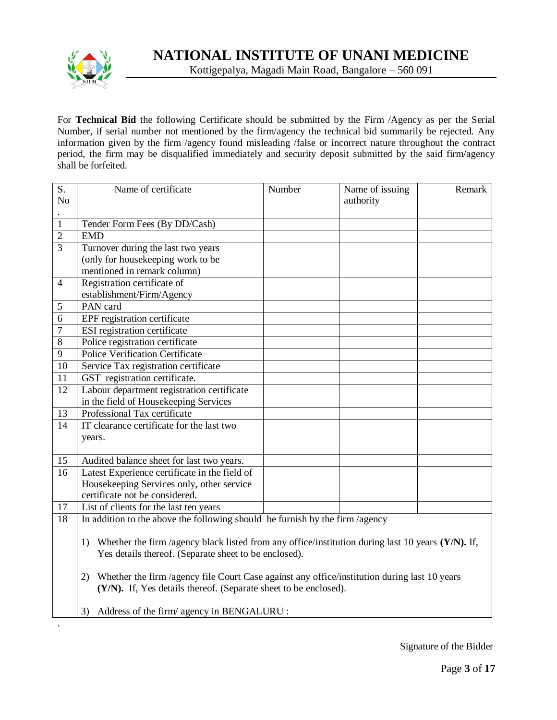

For **Technical Bid** the following Certificate should be submitted by the Firm /Agency as per the Serial Number, if serial number not mentioned by the firm/agency the technical bid summarily be rejected. Any information given by the firm /agency found misleading /false or incorrect nature throughout the contract period, the firm may be disqualified immediately and security deposit submitted by the said firm/agency shall be forfeited.

| S.<br>N <sub>o</sub> | Name of certificate                                                                                                                                              | Number | Name of issuing<br>authority | Remark |  |  |  |
|----------------------|------------------------------------------------------------------------------------------------------------------------------------------------------------------|--------|------------------------------|--------|--|--|--|
|                      |                                                                                                                                                                  |        |                              |        |  |  |  |
| $\mathbf{1}$         | Tender Form Fees (By DD/Cash)                                                                                                                                    |        |                              |        |  |  |  |
| $\overline{2}$       | <b>EMD</b>                                                                                                                                                       |        |                              |        |  |  |  |
| 3                    | Turnover during the last two years                                                                                                                               |        |                              |        |  |  |  |
|                      | (only for housekeeping work to be                                                                                                                                |        |                              |        |  |  |  |
|                      | mentioned in remark column)                                                                                                                                      |        |                              |        |  |  |  |
| $\overline{4}$       | Registration certificate of                                                                                                                                      |        |                              |        |  |  |  |
|                      | establishment/Firm/Agency                                                                                                                                        |        |                              |        |  |  |  |
| 5                    | PAN card                                                                                                                                                         |        |                              |        |  |  |  |
| 6                    | EPF registration certificate                                                                                                                                     |        |                              |        |  |  |  |
| $\boldsymbol{7}$     | ESI registration certificate                                                                                                                                     |        |                              |        |  |  |  |
| $\overline{8}$       | Police registration certificate                                                                                                                                  |        |                              |        |  |  |  |
| 9                    | <b>Police Verification Certificate</b>                                                                                                                           |        |                              |        |  |  |  |
| 10                   | Service Tax registration certificate                                                                                                                             |        |                              |        |  |  |  |
| 11                   | GST registration certificate.                                                                                                                                    |        |                              |        |  |  |  |
| 12                   | Labour department registration certificate                                                                                                                       |        |                              |        |  |  |  |
|                      | in the field of Housekeeping Services                                                                                                                            |        |                              |        |  |  |  |
| 13                   | Professional Tax certificate                                                                                                                                     |        |                              |        |  |  |  |
| 14                   | IT clearance certificate for the last two                                                                                                                        |        |                              |        |  |  |  |
|                      | years.                                                                                                                                                           |        |                              |        |  |  |  |
|                      |                                                                                                                                                                  |        |                              |        |  |  |  |
| 15                   | Audited balance sheet for last two years.                                                                                                                        |        |                              |        |  |  |  |
| 16                   | Latest Experience certificate in the field of                                                                                                                    |        |                              |        |  |  |  |
|                      | Housekeeping Services only, other service                                                                                                                        |        |                              |        |  |  |  |
|                      | certificate not be considered.                                                                                                                                   |        |                              |        |  |  |  |
| 17                   | List of clients for the last ten years                                                                                                                           |        |                              |        |  |  |  |
| 18                   | In addition to the above the following should be furnish by the firm /agency                                                                                     |        |                              |        |  |  |  |
|                      |                                                                                                                                                                  |        |                              |        |  |  |  |
|                      | Whether the firm /agency black listed from any office/institution during last 10 years (Y/N). If,<br>1)                                                          |        |                              |        |  |  |  |
|                      | Yes details thereof. (Separate sheet to be enclosed).                                                                                                            |        |                              |        |  |  |  |
|                      | 2)                                                                                                                                                               |        |                              |        |  |  |  |
|                      | Whether the firm /agency file Court Case against any office/institution during last 10 years<br>(Y/N). If, Yes details thereof. (Separate sheet to be enclosed). |        |                              |        |  |  |  |
|                      |                                                                                                                                                                  |        |                              |        |  |  |  |
|                      | Address of the firm/ agency in BENGALURU :<br>3)                                                                                                                 |        |                              |        |  |  |  |
|                      |                                                                                                                                                                  |        |                              |        |  |  |  |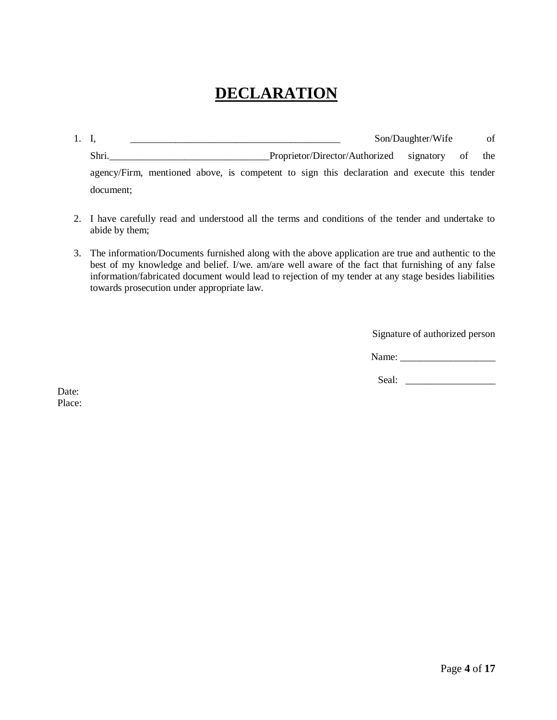## **DECLARATION**

| 1. I.                                                                                       |  |  |  |                                                 | Son/Daughter/Wife | of |
|---------------------------------------------------------------------------------------------|--|--|--|-------------------------------------------------|-------------------|----|
| Shri.                                                                                       |  |  |  | Proprietor/Director/Authorized signatory of the |                   |    |
| agency/Firm, mentioned above, is competent to sign this declaration and execute this tender |  |  |  |                                                 |                   |    |
| document:                                                                                   |  |  |  |                                                 |                   |    |

- 2. I have carefully read and understood all the terms and conditions of the tender and undertake to abide by them;
- 3. The information/Documents furnished along with the above application are true and authentic to the best of my knowledge and belief. I/we. am/are well aware of the fact that furnishing of any false information/fabricated document would lead to rejection of my tender at any stage besides liabilities towards prosecution under appropriate law.

Signature of authorized person

Name: \_\_\_\_\_\_\_\_\_\_\_\_\_\_\_\_\_\_\_

Seal: \_\_\_\_\_\_\_\_\_\_\_\_\_\_\_\_\_\_

Date: Place: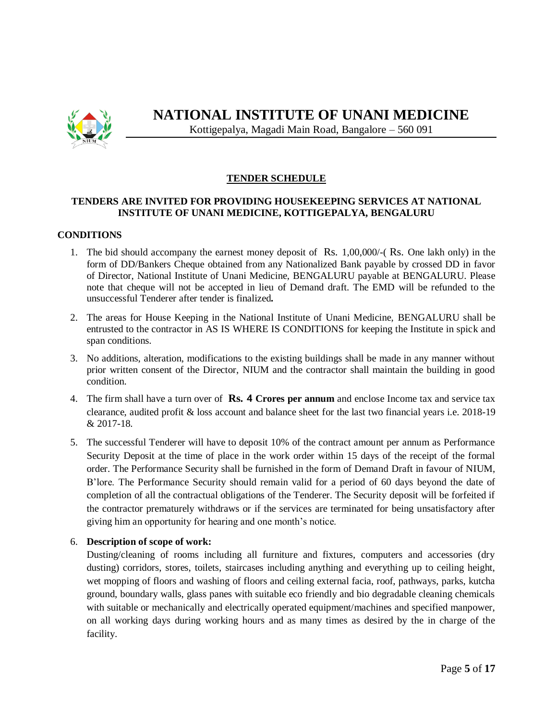

#### **TENDER SCHEDULE**

#### **TENDERS ARE INVITED FOR PROVIDING HOUSEKEEPING SERVICES AT NATIONAL INSTITUTE OF UNANI MEDICINE, KOTTIGEPALYA, BENGALURU**

#### **CONDITIONS**

- 1. The bid should accompany the earnest money deposit of Rs. 1,00,000/-( Rs. One lakh only) in the form of DD/Bankers Cheque obtained from any Nationalized Bank payable by crossed DD in favor of Director, National Institute of Unani Medicine, BENGALURU payable at BENGALURU. Please note that cheque will not be accepted in lieu of Demand draft. The EMD will be refunded to the unsuccessful Tenderer after tender is finalized*.*
- 2. The areas for House Keeping in the National Institute of Unani Medicine, BENGALURU shall be entrusted to the contractor in AS IS WHERE IS CONDITIONS for keeping the Institute in spick and span conditions.
- 3. No additions, alteration, modifications to the existing buildings shall be made in any manner without prior written consent of the Director, NIUM and the contractor shall maintain the building in good condition.
- 4. The firm shall have a turn over of **Rs. 4 Crores per annum** and enclose Income tax and service tax clearance, audited profit & loss account and balance sheet for the last two financial years i.e. 2018-19 & 2017-18.
- 5. The successful Tenderer will have to deposit 10% of the contract amount per annum as Performance Security Deposit at the time of place in the work order within 15 days of the receipt of the formal order. The Performance Security shall be furnished in the form of Demand Draft in favour of NIUM, B'lore. The Performance Security should remain valid for a period of 60 days beyond the date of completion of all the contractual obligations of the Tenderer. The Security deposit will be forfeited if the contractor prematurely withdraws or if the services are terminated for being unsatisfactory after giving him an opportunity for hearing and one month's notice.

#### 6. **Description of scope of work:**

Dusting/cleaning of rooms including all furniture and fixtures, computers and accessories (dry dusting) corridors, stores, toilets, staircases including anything and everything up to ceiling height, wet mopping of floors and washing of floors and ceiling external facia, roof, pathways, parks, kutcha ground, boundary walls, glass panes with suitable eco friendly and bio degradable cleaning chemicals with suitable or mechanically and electrically operated equipment/machines and specified manpower, on all working days during working hours and as many times as desired by the in charge of the facility.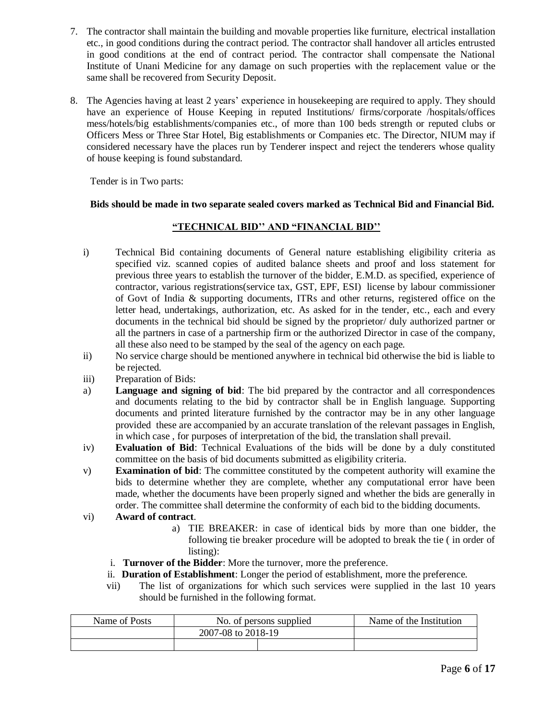- 7. The contractor shall maintain the building and movable properties like furniture, electrical installation etc., in good conditions during the contract period. The contractor shall handover all articles entrusted in good conditions at the end of contract period. The contractor shall compensate the National Institute of Unani Medicine for any damage on such properties with the replacement value or the same shall be recovered from Security Deposit.
- 8. The Agencies having at least 2 years' experience in housekeeping are required to apply. They should have an experience of House Keeping in reputed Institutions/ firms/corporate /hospitals/offices mess/hotels/big establishments/companies etc., of more than 100 beds strength or reputed clubs or Officers Mess or Three Star Hotel, Big establishments or Companies etc. The Director, NIUM may if considered necessary have the places run by Tenderer inspect and reject the tenderers whose quality of house keeping is found substandard.

Tender is in Two parts:

#### **Bids should be made in two separate sealed covers marked as Technical Bid and Financial Bid.**

#### **"TECHNICAL BID'' AND "FINANCIAL BID''**

- i) Technical Bid containing documents of General nature establishing eligibility criteria as specified viz. scanned copies of audited balance sheets and proof and loss statement for previous three years to establish the turnover of the bidder, E.M.D. as specified, experience of contractor, various registrations(service tax, GST, EPF, ESI) license by labour commissioner of Govt of India & supporting documents, ITRs and other returns, registered office on the letter head, undertakings, authorization, etc. As asked for in the tender, etc., each and every documents in the technical bid should be signed by the proprietor/ duly authorized partner or all the partners in case of a partnership firm or the authorized Director in case of the company, all these also need to be stamped by the seal of the agency on each page.
- ii) No service charge should be mentioned anywhere in technical bid otherwise the bid is liable to be rejected.
- iii) Preparation of Bids:
- a) **Language and signing of bid**: The bid prepared by the contractor and all correspondences and documents relating to the bid by contractor shall be in English language. Supporting documents and printed literature furnished by the contractor may be in any other language provided these are accompanied by an accurate translation of the relevant passages in English, in which case , for purposes of interpretation of the bid, the translation shall prevail.
- iv) **Evaluation of Bid**: Technical Evaluations of the bids will be done by a duly constituted committee on the basis of bid documents submitted as eligibility criteria.
- v) **Examination of bid**: The committee constituted by the competent authority will examine the bids to determine whether they are complete, whether any computational error have been made, whether the documents have been properly signed and whether the bids are generally in order. The committee shall determine the conformity of each bid to the bidding documents.
- vi) **Award of contract**.
	- a) TIE BREAKER: in case of identical bids by more than one bidder, the following tie breaker procedure will be adopted to break the tie ( in order of listing):
	- i. **Turnover of the Bidder**: More the turnover, more the preference.
	- ii. **Duration of Establishment**: Longer the period of establishment, more the preference.
	- vii) The list of organizations for which such services were supplied in the last 10 years should be furnished in the following format.

| Name of Posts | No. of persons supplied | Name of the Institution |  |
|---------------|-------------------------|-------------------------|--|
|               | 2007-08 to 2018-19      |                         |  |
|               |                         |                         |  |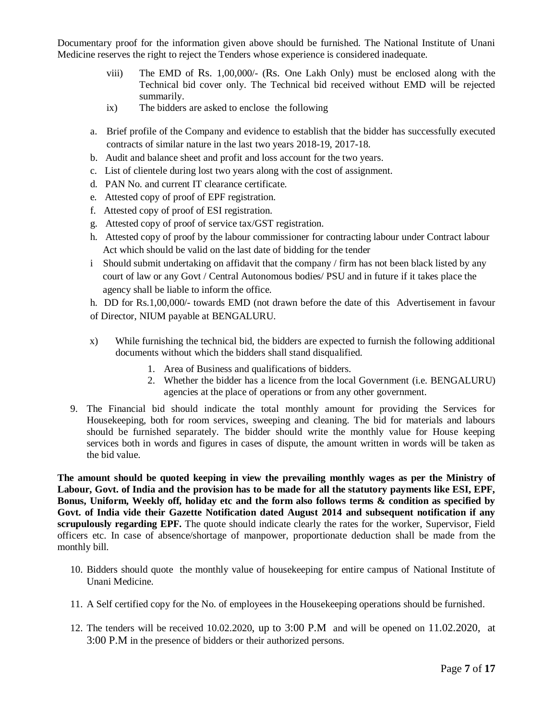Documentary proof for the information given above should be furnished. The National Institute of Unani Medicine reserves the right to reject the Tenders whose experience is considered inadequate.

- viii) The EMD of Rs. 1,00,000/- (Rs. One Lakh Only) must be enclosed along with the Technical bid cover only. The Technical bid received without EMD will be rejected summarily.
- ix) The bidders are asked to enclose the following
- a. Brief profile of the Company and evidence to establish that the bidder has successfully executed contracts of similar nature in the last two years 2018-19, 2017-18.
- b. Audit and balance sheet and profit and loss account for the two years.
- c. List of clientele during lost two years along with the cost of assignment.
- d. PAN No. and current IT clearance certificate.
- e. Attested copy of proof of EPF registration.
- f. Attested copy of proof of ESI registration.
- g. Attested copy of proof of service tax/GST registration.
- h. Attested copy of proof by the labour commissioner for contracting labour under Contract labour Act which should be valid on the last date of bidding for the tender
- i Should submit undertaking on affidavit that the company / firm has not been black listed by any court of law or any Govt / Central Autonomous bodies/ PSU and in future if it takes place the agency shall be liable to inform the office.

h. DD for Rs.1,00,000/- towards EMD (not drawn before the date of this Advertisement in favour of Director, NIUM payable at BENGALURU.

- x) While furnishing the technical bid, the bidders are expected to furnish the following additional documents without which the bidders shall stand disqualified.
	- 1. Area of Business and qualifications of bidders.
	- 2. Whether the bidder has a licence from the local Government (i.e. BENGALURU) agencies at the place of operations or from any other government.
- 9. The Financial bid should indicate the total monthly amount for providing the Services for Housekeeping, both for room services, sweeping and cleaning. The bid for materials and labours should be furnished separately. The bidder should write the monthly value for House keeping services both in words and figures in cases of dispute, the amount written in words will be taken as the bid value.

**The amount should be quoted keeping in view the prevailing monthly wages as per the Ministry of Labour, Govt. of India and the provision has to be made for all the statutory payments like ESI, EPF, Bonus, Uniform, Weekly off, holiday etc and the form also follows terms & condition as specified by Govt. of India vide their Gazette Notification dated August 2014 and subsequent notification if any scrupulously regarding EPF.** The quote should indicate clearly the rates for the worker, Supervisor, Field officers etc. In case of absence/shortage of manpower, proportionate deduction shall be made from the monthly bill.

- 10. Bidders should quote the monthly value of housekeeping for entire campus of National Institute of Unani Medicine.
- 11. A Self certified copy for the No. of employees in the Housekeeping operations should be furnished.
- 12. The tenders will be received 10.02.2020, up to 3:00 P.M and will be opened on 11.02.2020, at 3:00 P.M in the presence of bidders or their authorized persons.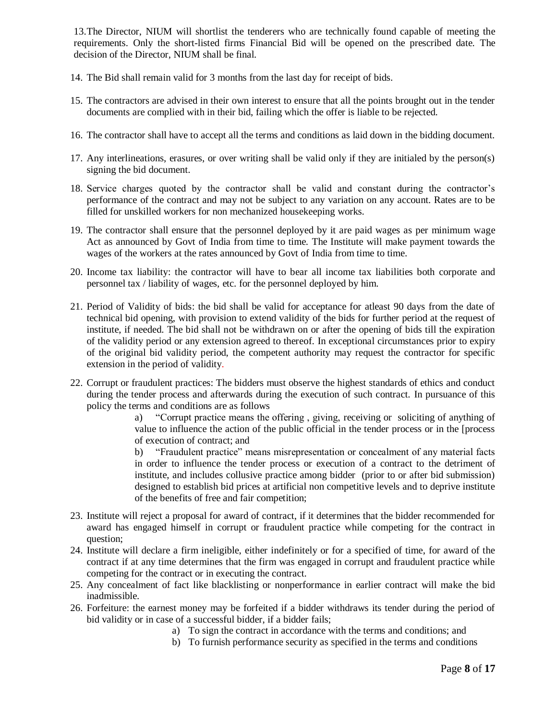13.The Director, NIUM will shortlist the tenderers who are technically found capable of meeting the requirements. Only the short-listed firms Financial Bid will be opened on the prescribed date. The decision of the Director, NIUM shall be final.

- 14. The Bid shall remain valid for 3 months from the last day for receipt of bids.
- 15. The contractors are advised in their own interest to ensure that all the points brought out in the tender documents are complied with in their bid, failing which the offer is liable to be rejected.
- 16. The contractor shall have to accept all the terms and conditions as laid down in the bidding document.
- 17. Any interlineations, erasures, or over writing shall be valid only if they are initialed by the person(s) signing the bid document.
- 18. Service charges quoted by the contractor shall be valid and constant during the contractor's performance of the contract and may not be subject to any variation on any account. Rates are to be filled for unskilled workers for non mechanized housekeeping works.
- 19. The contractor shall ensure that the personnel deployed by it are paid wages as per minimum wage Act as announced by Govt of India from time to time. The Institute will make payment towards the wages of the workers at the rates announced by Govt of India from time to time.
- 20. Income tax liability: the contractor will have to bear all income tax liabilities both corporate and personnel tax / liability of wages, etc. for the personnel deployed by him.
- 21. Period of Validity of bids: the bid shall be valid for acceptance for atleast 90 days from the date of technical bid opening, with provision to extend validity of the bids for further period at the request of institute, if needed. The bid shall not be withdrawn on or after the opening of bids till the expiration of the validity period or any extension agreed to thereof. In exceptional circumstances prior to expiry of the original bid validity period, the competent authority may request the contractor for specific extension in the period of validity*.*
- 22. Corrupt or fraudulent practices: The bidders must observe the highest standards of ethics and conduct during the tender process and afterwards during the execution of such contract. In pursuance of this policy the terms and conditions are as follows

a) "Corrupt practice means the offering , giving, receiving or soliciting of anything of value to influence the action of the public official in the tender process or in the [process of execution of contract; and

b) "Fraudulent practice" means misrepresentation or concealment of any material facts in order to influence the tender process or execution of a contract to the detriment of institute, and includes collusive practice among bidder (prior to or after bid submission) designed to establish bid prices at artificial non competitive levels and to deprive institute of the benefits of free and fair competition;

- 23. Institute will reject a proposal for award of contract, if it determines that the bidder recommended for award has engaged himself in corrupt or fraudulent practice while competing for the contract in question;
- 24. Institute will declare a firm ineligible, either indefinitely or for a specified of time, for award of the contract if at any time determines that the firm was engaged in corrupt and fraudulent practice while competing for the contract or in executing the contract.
- 25. Any concealment of fact like blacklisting or nonperformance in earlier contract will make the bid inadmissible.
- 26. Forfeiture: the earnest money may be forfeited if a bidder withdraws its tender during the period of bid validity or in case of a successful bidder, if a bidder fails;
	- a) To sign the contract in accordance with the terms and conditions; and
	- b) To furnish performance security as specified in the terms and conditions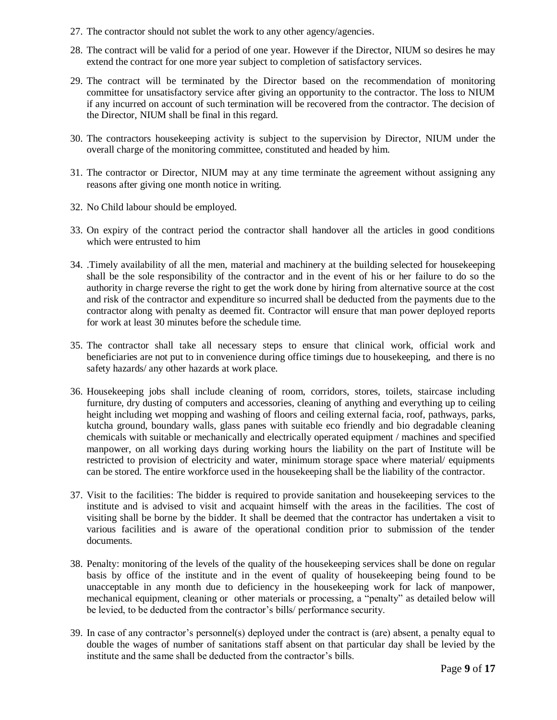- 27. The contractor should not sublet the work to any other agency/agencies.
- 28. The contract will be valid for a period of one year. However if the Director, NIUM so desires he may extend the contract for one more year subject to completion of satisfactory services.
- 29. The contract will be terminated by the Director based on the recommendation of monitoring committee for unsatisfactory service after giving an opportunity to the contractor. The loss to NIUM if any incurred on account of such termination will be recovered from the contractor. The decision of the Director, NIUM shall be final in this regard.
- 30. The contractors housekeeping activity is subject to the supervision by Director, NIUM under the overall charge of the monitoring committee, constituted and headed by him.
- 31. The contractor or Director, NIUM may at any time terminate the agreement without assigning any reasons after giving one month notice in writing.
- 32. No Child labour should be employed.
- 33. On expiry of the contract period the contractor shall handover all the articles in good conditions which were entrusted to him
- 34. .Timely availability of all the men, material and machinery at the building selected for housekeeping shall be the sole responsibility of the contractor and in the event of his or her failure to do so the authority in charge reverse the right to get the work done by hiring from alternative source at the cost and risk of the contractor and expenditure so incurred shall be deducted from the payments due to the contractor along with penalty as deemed fit. Contractor will ensure that man power deployed reports for work at least 30 minutes before the schedule time.
- 35. The contractor shall take all necessary steps to ensure that clinical work, official work and beneficiaries are not put to in convenience during office timings due to housekeeping, and there is no safety hazards/ any other hazards at work place.
- 36. Housekeeping jobs shall include cleaning of room, corridors, stores, toilets, staircase including furniture, dry dusting of computers and accessories, cleaning of anything and everything up to ceiling height including wet mopping and washing of floors and ceiling external facia, roof, pathways, parks, kutcha ground, boundary walls, glass panes with suitable eco friendly and bio degradable cleaning chemicals with suitable or mechanically and electrically operated equipment / machines and specified manpower, on all working days during working hours the liability on the part of Institute will be restricted to provision of electricity and water, minimum storage space where material/ equipments can be stored. The entire workforce used in the housekeeping shall be the liability of the contractor.
- 37. Visit to the facilities: The bidder is required to provide sanitation and housekeeping services to the institute and is advised to visit and acquaint himself with the areas in the facilities. The cost of visiting shall be borne by the bidder. It shall be deemed that the contractor has undertaken a visit to various facilities and is aware of the operational condition prior to submission of the tender documents.
- 38. Penalty: monitoring of the levels of the quality of the housekeeping services shall be done on regular basis by office of the institute and in the event of quality of housekeeping being found to be unacceptable in any month due to deficiency in the housekeeping work for lack of manpower, mechanical equipment, cleaning or other materials or processing, a "penalty" as detailed below will be levied, to be deducted from the contractor's bills/ performance security.
- 39. In case of any contractor's personnel(s) deployed under the contract is (are) absent, a penalty equal to double the wages of number of sanitations staff absent on that particular day shall be levied by the institute and the same shall be deducted from the contractor's bills.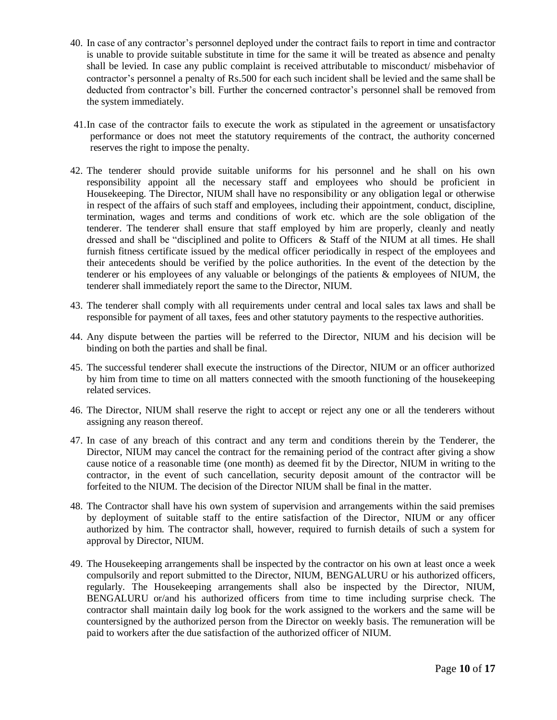- 40. In case of any contractor's personnel deployed under the contract fails to report in time and contractor is unable to provide suitable substitute in time for the same it will be treated as absence and penalty shall be levied. In case any public complaint is received attributable to misconduct/ misbehavior of contractor's personnel a penalty of Rs.500 for each such incident shall be levied and the same shall be deducted from contractor's bill. Further the concerned contractor's personnel shall be removed from the system immediately.
- 41.In case of the contractor fails to execute the work as stipulated in the agreement or unsatisfactory performance or does not meet the statutory requirements of the contract, the authority concerned reserves the right to impose the penalty.
- 42. The tenderer should provide suitable uniforms for his personnel and he shall on his own responsibility appoint all the necessary staff and employees who should be proficient in Housekeeping. The Director, NIUM shall have no responsibility or any obligation legal or otherwise in respect of the affairs of such staff and employees, including their appointment, conduct, discipline, termination, wages and terms and conditions of work etc. which are the sole obligation of the tenderer. The tenderer shall ensure that staff employed by him are properly, cleanly and neatly dressed and shall be "disciplined and polite to Officers & Staff of the NIUM at all times. He shall furnish fitness certificate issued by the medical officer periodically in respect of the employees and their antecedents should be verified by the police authorities. In the event of the detection by the tenderer or his employees of any valuable or belongings of the patients & employees of NIUM, the tenderer shall immediately report the same to the Director, NIUM.
- 43. The tenderer shall comply with all requirements under central and local sales tax laws and shall be responsible for payment of all taxes, fees and other statutory payments to the respective authorities.
- 44. Any dispute between the parties will be referred to the Director, NIUM and his decision will be binding on both the parties and shall be final.
- 45. The successful tenderer shall execute the instructions of the Director, NIUM or an officer authorized by him from time to time on all matters connected with the smooth functioning of the housekeeping related services.
- 46. The Director, NIUM shall reserve the right to accept or reject any one or all the tenderers without assigning any reason thereof.
- 47. In case of any breach of this contract and any term and conditions therein by the Tenderer, the Director, NIUM may cancel the contract for the remaining period of the contract after giving a show cause notice of a reasonable time (one month) as deemed fit by the Director, NIUM in writing to the contractor, in the event of such cancellation, security deposit amount of the contractor will be forfeited to the NIUM. The decision of the Director NIUM shall be final in the matter.
- 48. The Contractor shall have his own system of supervision and arrangements within the said premises by deployment of suitable staff to the entire satisfaction of the Director, NIUM or any officer authorized by him. The contractor shall, however, required to furnish details of such a system for approval by Director, NIUM.
- 49. The Housekeeping arrangements shall be inspected by the contractor on his own at least once a week compulsorily and report submitted to the Director, NIUM, BENGALURU or his authorized officers, regularly. The Housekeeping arrangements shall also be inspected by the Director, NIUM, BENGALURU or/and his authorized officers from time to time including surprise check. The contractor shall maintain daily log book for the work assigned to the workers and the same will be countersigned by the authorized person from the Director on weekly basis. The remuneration will be paid to workers after the due satisfaction of the authorized officer of NIUM.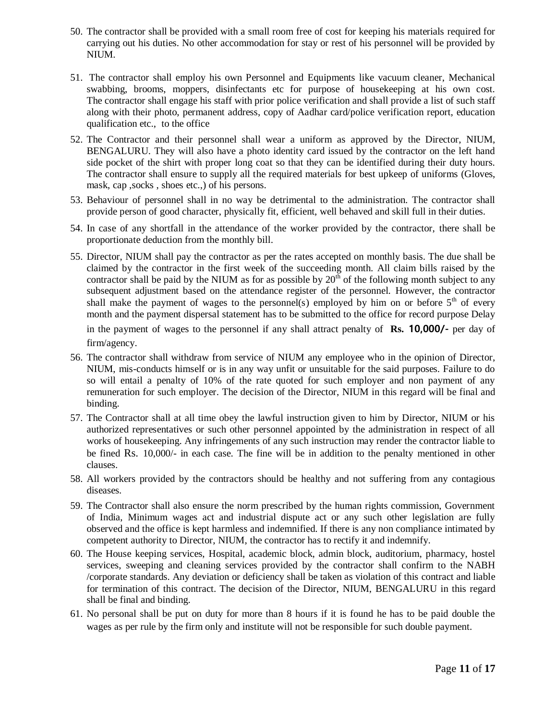- 50. The contractor shall be provided with a small room free of cost for keeping his materials required for carrying out his duties. No other accommodation for stay or rest of his personnel will be provided by NIUM.
- 51. The contractor shall employ his own Personnel and Equipments like vacuum cleaner, Mechanical swabbing, brooms, moppers, disinfectants etc for purpose of housekeeping at his own cost. The contractor shall engage his staff with prior police verification and shall provide a list of such staff along with their photo, permanent address, copy of Aadhar card/police verification report, education qualification etc., to the office
- 52. The Contractor and their personnel shall wear a uniform as approved by the Director, NIUM, BENGALURU. They will also have a photo identity card issued by the contractor on the left hand side pocket of the shirt with proper long coat so that they can be identified during their duty hours. The contractor shall ensure to supply all the required materials for best upkeep of uniforms (Gloves, mask, cap ,socks , shoes etc.,) of his persons.
- 53. Behaviour of personnel shall in no way be detrimental to the administration. The contractor shall provide person of good character, physically fit, efficient, well behaved and skill full in their duties.
- 54. In case of any shortfall in the attendance of the worker provided by the contractor, there shall be proportionate deduction from the monthly bill.
- 55. Director, NIUM shall pay the contractor as per the rates accepted on monthly basis. The due shall be claimed by the contractor in the first week of the succeeding month. All claim bills raised by the contractor shall be paid by the NIUM as for as possible by  $20<sup>th</sup>$  of the following month subject to any subsequent adjustment based on the attendance register of the personnel. However, the contractor shall make the payment of wages to the personnel(s) employed by him on or before  $5<sup>th</sup>$  of every month and the payment dispersal statement has to be submitted to the office for record purpose Delay

in the payment of wages to the personnel if any shall attract penalty of **Rs. 10,000/-** per day of firm/agency.

- 56. The contractor shall withdraw from service of NIUM any employee who in the opinion of Director, NIUM, mis-conducts himself or is in any way unfit or unsuitable for the said purposes. Failure to do so will entail a penalty of 10% of the rate quoted for such employer and non payment of any remuneration for such employer. The decision of the Director, NIUM in this regard will be final and binding.
- 57. The Contractor shall at all time obey the lawful instruction given to him by Director, NIUM or his authorized representatives or such other personnel appointed by the administration in respect of all works of housekeeping. Any infringements of any such instruction may render the contractor liable to be fined Rs. 10,000/- in each case. The fine will be in addition to the penalty mentioned in other clauses.
- 58. All workers provided by the contractors should be healthy and not suffering from any contagious diseases.
- 59. The Contractor shall also ensure the norm prescribed by the human rights commission, Government of India, Minimum wages act and industrial dispute act or any such other legislation are fully observed and the office is kept harmless and indemnified. If there is any non compliance intimated by competent authority to Director, NIUM, the contractor has to rectify it and indemnify.
- 60. The House keeping services, Hospital, academic block, admin block, auditorium, pharmacy, hostel services, sweeping and cleaning services provided by the contractor shall confirm to the NABH /corporate standards. Any deviation or deficiency shall be taken as violation of this contract and liable for termination of this contract. The decision of the Director, NIUM, BENGALURU in this regard shall be final and binding.
- 61. No personal shall be put on duty for more than 8 hours if it is found he has to be paid double the wages as per rule by the firm only and institute will not be responsible for such double payment.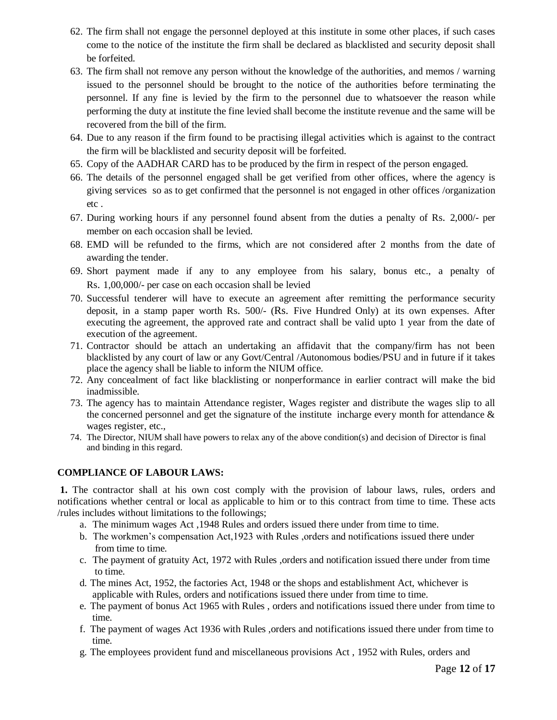- 62. The firm shall not engage the personnel deployed at this institute in some other places, if such cases come to the notice of the institute the firm shall be declared as blacklisted and security deposit shall be forfeited.
- 63. The firm shall not remove any person without the knowledge of the authorities, and memos / warning issued to the personnel should be brought to the notice of the authorities before terminating the personnel. If any fine is levied by the firm to the personnel due to whatsoever the reason while performing the duty at institute the fine levied shall become the institute revenue and the same will be recovered from the bill of the firm.
- 64. Due to any reason if the firm found to be practising illegal activities which is against to the contract the firm will be blacklisted and security deposit will be forfeited.
- 65. Copy of the AADHAR CARD has to be produced by the firm in respect of the person engaged.
- 66. The details of the personnel engaged shall be get verified from other offices, where the agency is giving services so as to get confirmed that the personnel is not engaged in other offices /organization etc .
- 67. During working hours if any personnel found absent from the duties a penalty of Rs. 2,000/- per member on each occasion shall be levied.
- 68. EMD will be refunded to the firms, which are not considered after 2 months from the date of awarding the tender.
- 69. Short payment made if any to any employee from his salary, bonus etc., a penalty of Rs. 1,00,000/- per case on each occasion shall be levied
- 70. Successful tenderer will have to execute an agreement after remitting the performance security deposit, in a stamp paper worth Rs. 500/- (Rs. Five Hundred Only) at its own expenses. After executing the agreement, the approved rate and contract shall be valid upto 1 year from the date of execution of the agreement.
- 71. Contractor should be attach an undertaking an affidavit that the company/firm has not been blacklisted by any court of law or any Govt/Central /Autonomous bodies/PSU and in future if it takes place the agency shall be liable to inform the NIUM office.
- 72. Any concealment of fact like blacklisting or nonperformance in earlier contract will make the bid inadmissible.
- 73. The agency has to maintain Attendance register, Wages register and distribute the wages slip to all the concerned personnel and get the signature of the institute incharge every month for attendance  $\&$ wages register, etc.,
- 74. The Director, NIUM shall have powers to relax any of the above condition(s) and decision of Director is final and binding in this regard.

#### **COMPLIANCE OF LABOUR LAWS:**

**1.** The contractor shall at his own cost comply with the provision of labour laws, rules, orders and notifications whether central or local as applicable to him or to this contract from time to time. These acts /rules includes without limitations to the followings;

- a. The minimum wages Act ,1948 Rules and orders issued there under from time to time.
- b. The workmen's compensation Act,1923 with Rules ,orders and notifications issued there under from time to time.
- c. The payment of gratuity Act, 1972 with Rules ,orders and notification issued there under from time to time.
- d. The mines Act, 1952, the factories Act, 1948 or the shops and establishment Act, whichever is applicable with Rules, orders and notifications issued there under from time to time.
- e. The payment of bonus Act 1965 with Rules , orders and notifications issued there under from time to time.
- f. The payment of wages Act 1936 with Rules ,orders and notifications issued there under from time to time.
- g. The employees provident fund and miscellaneous provisions Act , 1952 with Rules, orders and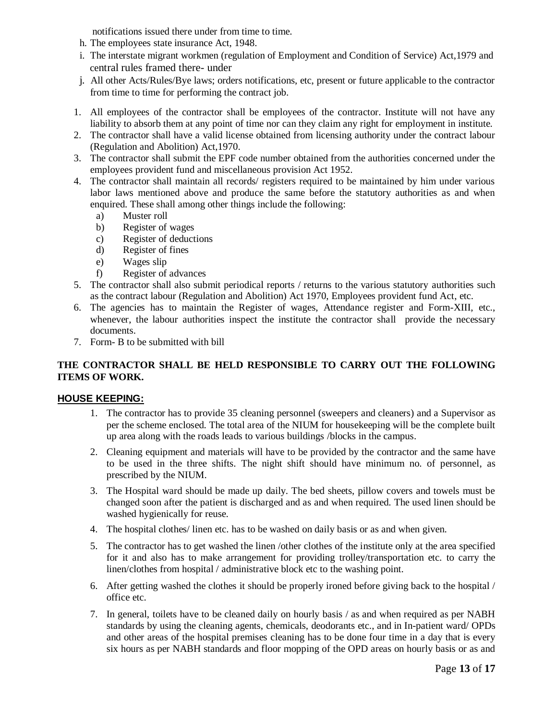notifications issued there under from time to time.

- h. The employees state insurance Act, 1948.
- i. The interstate migrant workmen (regulation of Employment and Condition of Service) Act,1979 and central rules framed there- under
- j. All other Acts/Rules/Bye laws; orders notifications, etc, present or future applicable to the contractor from time to time for performing the contract job.
- 1. All employees of the contractor shall be employees of the contractor. Institute will not have any liability to absorb them at any point of time nor can they claim any right for employment in institute.
- 2. The contractor shall have a valid license obtained from licensing authority under the contract labour (Regulation and Abolition) Act,1970.
- 3. The contractor shall submit the EPF code number obtained from the authorities concerned under the employees provident fund and miscellaneous provision Act 1952.
- 4. The contractor shall maintain all records/ registers required to be maintained by him under various labor laws mentioned above and produce the same before the statutory authorities as and when enquired. These shall among other things include the following:
	- a) Muster roll
	- b) Register of wages
	- c) Register of deductions
	- d) Register of fines
	- e) Wages slip
	- f) Register of advances
- 5. The contractor shall also submit periodical reports / returns to the various statutory authorities such as the contract labour (Regulation and Abolition) Act 1970, Employees provident fund Act, etc.
- 6. The agencies has to maintain the Register of wages, Attendance register and Form-XIII, etc., whenever, the labour authorities inspect the institute the contractor shall provide the necessary documents.
- 7. Form- B to be submitted with bill

#### **THE CONTRACTOR SHALL BE HELD RESPONSIBLE TO CARRY OUT THE FOLLOWING ITEMS OF WORK.**

#### **HOUSE KEEPING:**

- 1. The contractor has to provide 35 cleaning personnel (sweepers and cleaners) and a Supervisor as per the scheme enclosed. The total area of the NIUM for housekeeping will be the complete built up area along with the roads leads to various buildings /blocks in the campus.
- 2. Cleaning equipment and materials will have to be provided by the contractor and the same have to be used in the three shifts. The night shift should have minimum no. of personnel, as prescribed by the NIUM.
- 3. The Hospital ward should be made up daily. The bed sheets, pillow covers and towels must be changed soon after the patient is discharged and as and when required. The used linen should be washed hygienically for reuse.
- 4. The hospital clothes/ linen etc. has to be washed on daily basis or as and when given.
- 5. The contractor has to get washed the linen /other clothes of the institute only at the area specified for it and also has to make arrangement for providing trolley/transportation etc. to carry the linen/clothes from hospital / administrative block etc to the washing point.
- 6. After getting washed the clothes it should be properly ironed before giving back to the hospital / office etc.
- 7. In general, toilets have to be cleaned daily on hourly basis / as and when required as per NABH standards by using the cleaning agents, chemicals, deodorants etc., and in In-patient ward/ OPDs and other areas of the hospital premises cleaning has to be done four time in a day that is every six hours as per NABH standards and floor mopping of the OPD areas on hourly basis or as and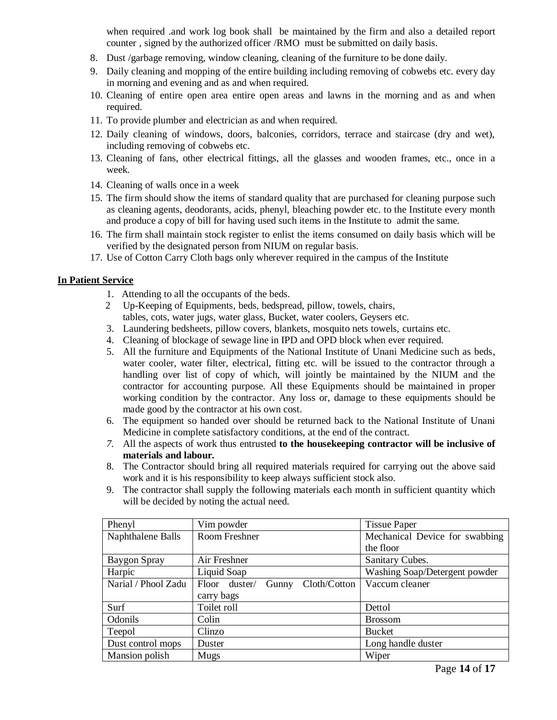when required .and work log book shall be maintained by the firm and also a detailed report counter , signed by the authorized officer /RMO must be submitted on daily basis.

- 8. Dust /garbage removing, window cleaning, cleaning of the furniture to be done daily.
- 9. Daily cleaning and mopping of the entire building including removing of cobwebs etc. every day in morning and evening and as and when required.
- 10. Cleaning of entire open area entire open areas and lawns in the morning and as and when required.
- 11. To provide plumber and electrician as and when required.
- 12. Daily cleaning of windows, doors, balconies, corridors, terrace and staircase (dry and wet), including removing of cobwebs etc.
- 13. Cleaning of fans, other electrical fittings, all the glasses and wooden frames, etc., once in a week.
- 14. Cleaning of walls once in a week
- 15. The firm should show the items of standard quality that are purchased for cleaning purpose such as cleaning agents, deodorants, acids, phenyl, bleaching powder etc. to the Institute every month and produce a copy of bill for having used such items in the Institute to admit the same.
- 16. The firm shall maintain stock register to enlist the items consumed on daily basis which will be verified by the designated person from NIUM on regular basis.
- 17. Use of Cotton Carry Cloth bags only wherever required in the campus of the Institute

#### **In Patient Service**

- 1. Attending to all the occupants of the beds.
- 2 Up-Keeping of Equipments, beds, bedspread, pillow, towels, chairs, tables, cots, water jugs, water glass, Bucket, water coolers, Geysers etc.
- 3. Laundering bedsheets, pillow covers, blankets, mosquito nets towels, curtains etc.
- 4. Cleaning of blockage of sewage line in IPD and OPD block when ever required.
- 5. All the furniture and Equipments of the National Institute of Unani Medicine such as beds, water cooler, water filter, electrical, fitting etc. will be issued to the contractor through a handling over list of copy of which, will jointly be maintained by the NIUM and the contractor for accounting purpose. All these Equipments should be maintained in proper working condition by the contractor. Any loss or, damage to these equipments should be made good by the contractor at his own cost.
- 6. The equipment so handed over should be returned back to the National Institute of Unani Medicine in complete satisfactory conditions, at the end of the contract.
- *7.* All the aspects of work thus entrusted **to the housekeeping contractor will be inclusive of materials and labour***.*
- 8. The Contractor should bring all required materials required for carrying out the above said work and it is his responsibility to keep always sufficient stock also.
- 9. The contractor shall supply the following materials each month in sufficient quantity which will be decided by noting the actual need.

| Phenyl              | Vim powder                             | <b>Tissue Paper</b>            |
|---------------------|----------------------------------------|--------------------------------|
| Naphthalene Balls   | Room Freshner                          | Mechanical Device for swabbing |
|                     |                                        | the floor                      |
| Baygon Spray        | Air Freshner                           | Sanitary Cubes.                |
| Harpic              | Liquid Soap                            | Washing Soap/Detergent powder  |
| Narial / Phool Zadu | Cloth/Cotton<br>Floor duster/<br>Gunny | Vaccum cleaner                 |
|                     | carry bags                             |                                |
| Surf                | Toilet roll                            | Dettol                         |
| Odonils             | Colin                                  | <b>Brossom</b>                 |
| Teepol              | Clinzo                                 | <b>Bucket</b>                  |
| Dust control mops   | Duster                                 | Long handle duster             |
| Mansion polish      | Mugs                                   | Wiper                          |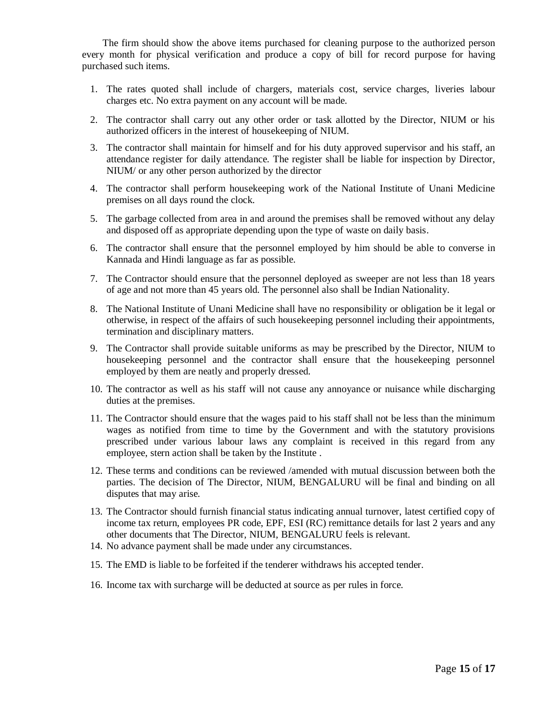The firm should show the above items purchased for cleaning purpose to the authorized person every month for physical verification and produce a copy of bill for record purpose for having purchased such items.

- 1. The rates quoted shall include of chargers, materials cost, service charges, liveries labour charges etc. No extra payment on any account will be made.
- 2. The contractor shall carry out any other order or task allotted by the Director, NIUM or his authorized officers in the interest of housekeeping of NIUM.
- 3. The contractor shall maintain for himself and for his duty approved supervisor and his staff, an attendance register for daily attendance. The register shall be liable for inspection by Director, NIUM/ or any other person authorized by the director
- 4. The contractor shall perform housekeeping work of the National Institute of Unani Medicine premises on all days round the clock.
- 5. The garbage collected from area in and around the premises shall be removed without any delay and disposed off as appropriate depending upon the type of waste on daily basis.
- 6. The contractor shall ensure that the personnel employed by him should be able to converse in Kannada and Hindi language as far as possible.
- 7. The Contractor should ensure that the personnel deployed as sweeper are not less than 18 years of age and not more than 45 years old. The personnel also shall be Indian Nationality.
- 8. The National Institute of Unani Medicine shall have no responsibility or obligation be it legal or otherwise, in respect of the affairs of such housekeeping personnel including their appointments, termination and disciplinary matters.
- 9. The Contractor shall provide suitable uniforms as may be prescribed by the Director, NIUM to housekeeping personnel and the contractor shall ensure that the housekeeping personnel employed by them are neatly and properly dressed.
- 10. The contractor as well as his staff will not cause any annoyance or nuisance while discharging duties at the premises.
- 11. The Contractor should ensure that the wages paid to his staff shall not be less than the minimum wages as notified from time to time by the Government and with the statutory provisions prescribed under various labour laws any complaint is received in this regard from any employee, stern action shall be taken by the Institute .
- 12. These terms and conditions can be reviewed /amended with mutual discussion between both the parties. The decision of The Director, NIUM, BENGALURU will be final and binding on all disputes that may arise.
- 13. The Contractor should furnish financial status indicating annual turnover, latest certified copy of income tax return, employees PR code, EPF, ESI (RC) remittance details for last 2 years and any other documents that The Director, NIUM, BENGALURU feels is relevant.
- 14. No advance payment shall be made under any circumstances.
- 15. The EMD is liable to be forfeited if the tenderer withdraws his accepted tender.
- 16. Income tax with surcharge will be deducted at source as per rules in force.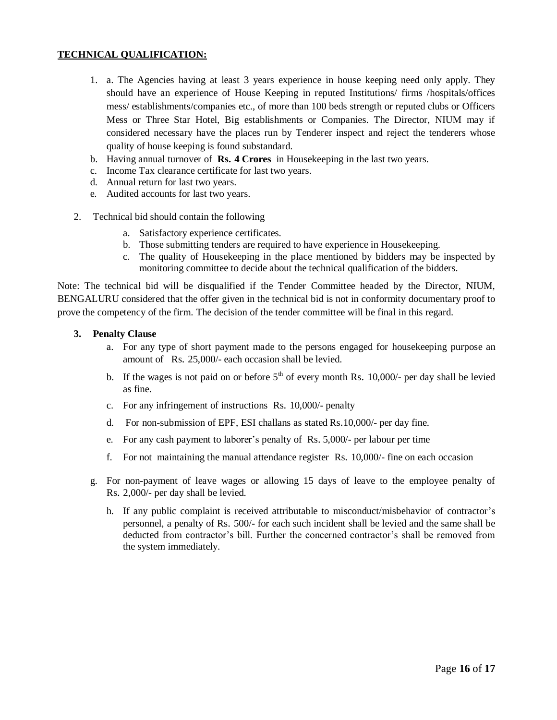#### **TECHNICAL QUALIFICATION:**

- 1. a. The Agencies having at least 3 years experience in house keeping need only apply. They should have an experience of House Keeping in reputed Institutions/ firms /hospitals/offices mess/ establishments/companies etc., of more than 100 beds strength or reputed clubs or Officers Mess or Three Star Hotel, Big establishments or Companies. The Director, NIUM may if considered necessary have the places run by Tenderer inspect and reject the tenderers whose quality of house keeping is found substandard.
- b. Having annual turnover of **Rs. 4 Crores** in Housekeeping in the last two years.
- c. Income Tax clearance certificate for last two years.
- d. Annual return for last two years.
- e. Audited accounts for last two years.
- 2. Technical bid should contain the following
	- a. Satisfactory experience certificates.
	- b. Those submitting tenders are required to have experience in Housekeeping.
	- c. The quality of Housekeeping in the place mentioned by bidders may be inspected by monitoring committee to decide about the technical qualification of the bidders.

Note: The technical bid will be disqualified if the Tender Committee headed by the Director, NIUM, BENGALURU considered that the offer given in the technical bid is not in conformity documentary proof to prove the competency of the firm. The decision of the tender committee will be final in this regard.

#### **3. Penalty Clause**

- a. For any type of short payment made to the persons engaged for housekeeping purpose an amount of Rs. 25,000/- each occasion shall be levied.
- b. If the wages is not paid on or before  $5<sup>th</sup>$  of every month Rs. 10,000/- per day shall be levied as fine.
- c. For any infringement of instructions Rs. 10,000/- penalty
- d. For non-submission of EPF, ESI challans as stated Rs.10,000/- per day fine.
- e. For any cash payment to laborer's penalty of Rs. 5,000/- per labour per time
- f. For not maintaining the manual attendance register Rs. 10,000/- fine on each occasion
- g. For non-payment of leave wages or allowing 15 days of leave to the employee penalty of Rs. 2,000/- per day shall be levied.
	- h. If any public complaint is received attributable to misconduct/misbehavior of contractor's personnel, a penalty of Rs. 500/- for each such incident shall be levied and the same shall be deducted from contractor's bill. Further the concerned contractor's shall be removed from the system immediately.